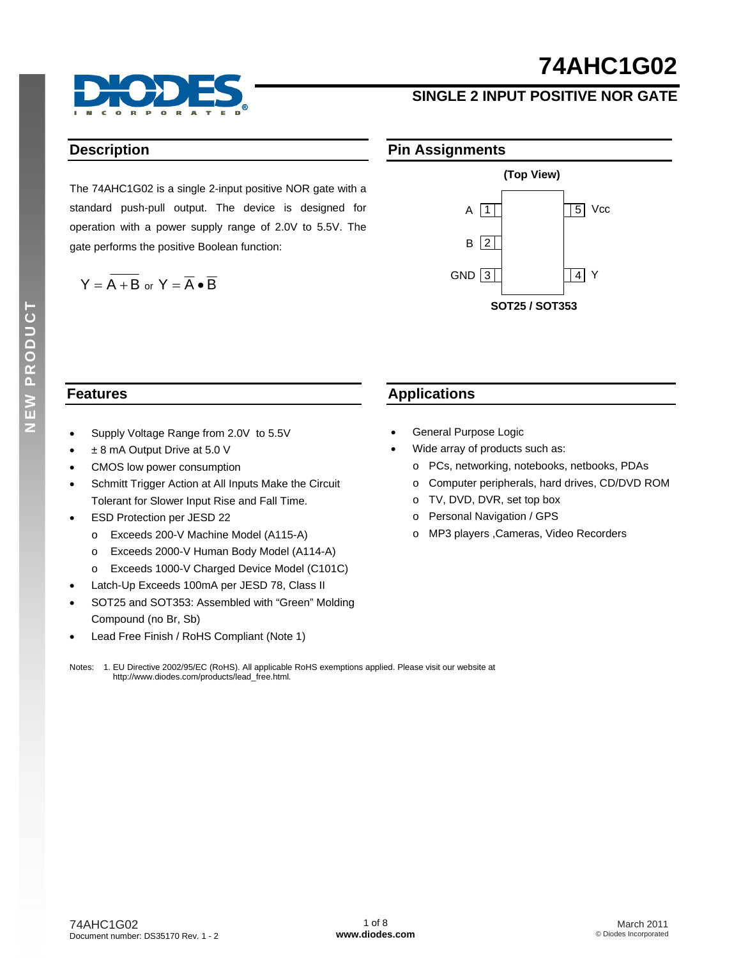# **74AHC1G02**



### **SINGLE 2 INPUT POSITIVE NOR GATE**

#### **Description**

The 74AHC1G02 is a single 2-input positive NOR gate with a standard push-pull output. The device is designed for operation with a power supply range of 2.0V to 5.5V. The gate performs the positive Boolean function:

$$
Y = \overline{A + B} \text{ or } Y = \overline{A} \bullet \overline{B}
$$





#### **Features**

- Supply Voltage Range from 2.0V to 5.5V
- ± 8 mA Output Drive at 5.0 V
- CMOS low power consumption
- Schmitt Trigger Action at All Inputs Make the Circuit Tolerant for Slower Input Rise and Fall Time.
- ESD Protection per JESD 22
	- o Exceeds 200-V Machine Model (A115-A)
	- o Exceeds 2000-V Human Body Model (A114-A)
	- o Exceeds 1000-V Charged Device Model (C101C)
- Latch-Up Exceeds 100mA per JESD 78, Class II
- SOT25 and SOT353: Assembled with "Green" Molding Compound (no Br, Sb)
- Lead Free Finish / RoHS Compliant (Note 1)

#### **Applications**

- General Purpose Logic
- Wide array of products such as:
	- o PCs, networking, notebooks, netbooks, PDAs
	- o Computer peripherals, hard drives, CD/DVD ROM
	- o TV, DVD, DVR, set top box
	- o Personal Navigation / GPS
	- o MP3 players ,Cameras, Video Recorders

Notes: 1. EU Directive 2002/95/EC (RoHS). All applicable RoHS exemptions applied. Please visit our website at [http://www.diodes.com/products/lead\\_free.html](http://www.diodes.com/products/lead_free.html)*.*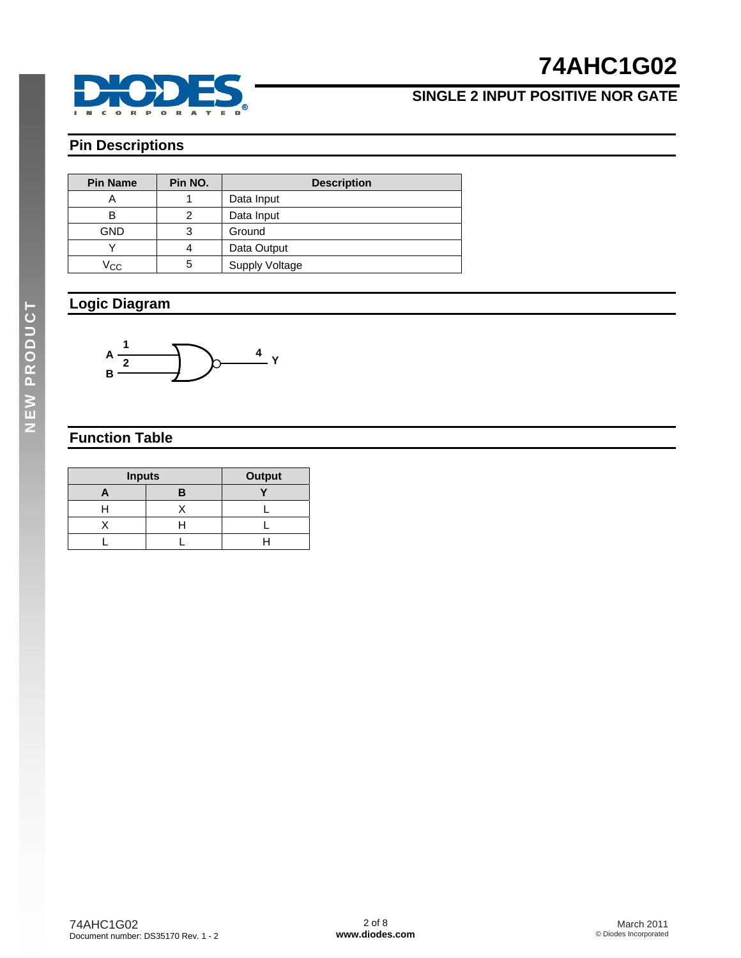

## **74AHC1G02**

### **SINGLE 2 INPUT POSITIVE NOR GATE**

### **Pin Descriptions**

| <b>Pin Name</b> | Pin NO. | <b>Description</b>    |
|-----------------|---------|-----------------------|
|                 |         | Data Input            |
| в               |         | Data Input            |
| GND             | 3       | Ground                |
|                 | Λ       | Data Output           |
| Vcc             | 5       | <b>Supply Voltage</b> |

### **Logic Diagram**



### **Function Table**

| <b>Inputs</b> | <b>Output</b> |  |
|---------------|---------------|--|
|               |               |  |
|               |               |  |
|               |               |  |
|               |               |  |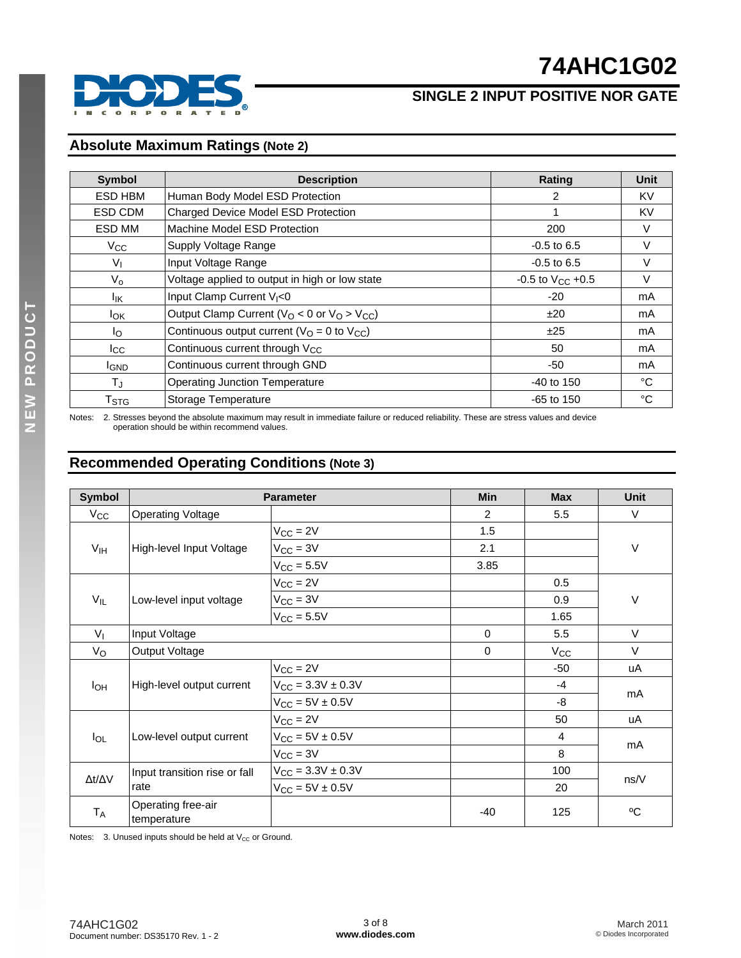



#### **Absolute Maximum Ratings (Note 2)**

| <b>Symbol</b>             | <b>Description</b>                                     | Rating                  | <b>Unit</b> |
|---------------------------|--------------------------------------------------------|-------------------------|-------------|
| ESD HBM                   | Human Body Model ESD Protection                        | 2                       | KV          |
| ESD CDM                   | Charged Device Model ESD Protection                    | 1                       | <b>KV</b>   |
| ESD MM                    | Machine Model ESD Protection                           | 200                     | V           |
| $V_{\rm CC}$              | Supply Voltage Range                                   | $-0.5$ to 6.5           | $\vee$      |
| $V_{1}$                   | Input Voltage Range                                    | $-0.5$ to 6.5           | V           |
| $V_{\rm o}$               | Voltage applied to output in high or low state         | $-0.5$ to $V_{CC}$ +0.5 | V           |
| lικ                       | Input Clamp Current V <sub>I</sub> <0                  | $-20$                   | mA          |
| <b>l</b> ok               | Output Clamp Current ( $V_O$ < 0 or $V_O$ > $V_{CC}$ ) | ±20                     | mA          |
| Ιo                        | Continuous output current ( $VO = 0$ to $VCC$ )        | ±25                     | mA          |
| $_{\rm lcc}$              | Continuous current through V <sub>CC</sub>             | 50                      | mA          |
| <b>IGND</b>               | Continuous current through GND                         | -50                     | mA          |
| $T_{J}$                   | <b>Operating Junction Temperature</b>                  | $-40$ to 150            | °C          |
| $\mathsf{T}_{\text{STG}}$ | Storage Temperature                                    | $-65$ to 150            | °C          |

Notes: 2. Stresses beyond the absolute maximum may result in immediate failure or reduced reliability. These are stress values and device operation should be within recommend values.

### **Recommended Operating Conditions (Note 3)**

| <b>Symbol</b>       | <b>Parameter</b>                  |                                 | <b>Min</b> | <b>Max</b>   | <b>Unit</b> |
|---------------------|-----------------------------------|---------------------------------|------------|--------------|-------------|
| $V_{\rm CC}$        | <b>Operating Voltage</b>          |                                 | 2          | 5.5          | $\vee$      |
|                     |                                   | $V_{CC} = 2V$                   | 1.5        |              |             |
| V <sub>IH</sub>     | High-level Input Voltage          | $V_{CC} = 3V$                   | 2.1        |              | $\vee$      |
|                     |                                   | $V_{\text{CC}} = 5.5V$          | 3.85       |              |             |
|                     |                                   | $V_{CC} = 2V$                   |            | 0.5          |             |
| $V_{IL}$            | Low-level input voltage           | $V_{CC} = 3V$                   |            | 0.9          | V           |
|                     |                                   | $V_{CC} = 5.5V$                 |            | 1.65         |             |
| V <sub>1</sub>      | Input Voltage                     |                                 | $\Omega$   | 5.5          | $\vee$      |
| $V_{\rm O}$         | Output Voltage                    |                                 | 0          | $V_{\rm CC}$ | $\vee$      |
|                     |                                   | $V_{CC} = 2V$                   |            | $-50$        | uA          |
| $I_{OH}$            | High-level output current         | $V_{CC} = 3.3V \pm 0.3V$        |            | $-4$         |             |
|                     |                                   | $V_{CC} = 5V \pm 0.5V$          |            | -8           | mA          |
|                     |                                   | $V_{CC} = 2V$                   |            | 50           | uA          |
| $I_{OL}$            | Low-level output current          | $V_{CC} = 5V \pm 0.5V$          |            | 4            |             |
|                     |                                   | $V_{\text{CC}} = 3V$            |            | 8            | mA          |
|                     | Input transition rise or fall     | $V_{\text{CC}} = 3.3V \pm 0.3V$ |            | 100          |             |
| $\Delta t/\Delta V$ | rate                              | $V_{CC} = 5V \pm 0.5V$          |            | 20           | ns/V        |
| $T_A$               | Operating free-air<br>temperature |                                 | -40        | 125          | $\rm ^{o}C$ |

Notes:  $3.$  Unused inputs should be held at  $V_{CC}$  or Ground.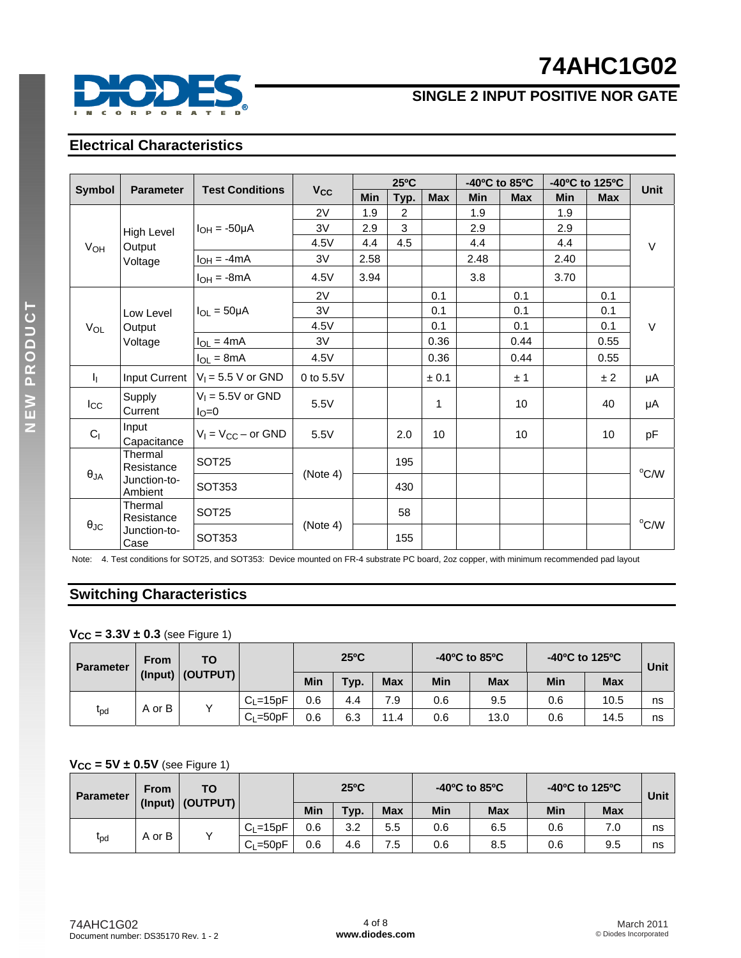# **74AHC1G02**



### **SINGLE 2 INPUT POSITIVE NOR GATE**

#### **Electrical Characteristics**

|                                   |                         | <b>Test Conditions</b>  |                       |            | $25^{\circ}$ C |            |      | -40°C to 85°C |            | -40°C to 125°C | <b>Unit</b>    |
|-----------------------------------|-------------------------|-------------------------|-----------------------|------------|----------------|------------|------|---------------|------------|----------------|----------------|
| <b>Symbol</b><br><b>Parameter</b> |                         |                         | <b>V<sub>cc</sub></b> | <b>Min</b> | Typ.           | <b>Max</b> | Min  | <b>Max</b>    | <b>Min</b> | <b>Max</b>     |                |
|                                   |                         |                         | 2V                    | 1.9        | $\overline{2}$ |            | 1.9  |               | 1.9        |                |                |
| High Level                        | $I_{OH} = -50\mu A$     | 3V                      | 2.9                   | 3          |                | 2.9        |      | 2.9           |            |                |                |
| V <sub>OH</sub>                   | Output                  |                         | 4.5V                  | 4.4        | 4.5            |            | 4.4  |               | 4.4        |                | $\vee$         |
|                                   | Voltage                 | $I_{OH} = -4mA$         | 3V                    | 2.58       |                |            | 2.48 |               | 2.40       |                |                |
|                                   |                         | $I_{OH} = -8mA$         | 4.5V                  | 3.94       |                |            | 3.8  |               | 3.70       |                |                |
|                                   |                         |                         | 2V                    |            |                | 0.1        |      | 0.1           |            | 0.1            |                |
|                                   | Low Level               | $I_{OL} = 50 \mu A$     | 3V                    |            |                | 0.1        |      | 0.1           |            | 0.1            |                |
| VOL                               | Output                  |                         | 4.5V                  |            |                | 0.1        |      | 0.1           |            | 0.1            | $\vee$         |
| Voltage                           |                         | $I_{OL} = 4mA$          | 3V                    |            |                | 0.36       |      | 0.44          |            | 0.55           |                |
|                                   |                         | $I_{OL} = 8mA$          | 4.5V                  |            |                | 0.36       |      | 0.44          |            | 0.55           |                |
| h.,                               | Input Current           | $V_1 = 5.5$ V or GND    | 0 to $5.5V$           |            |                | ± 0.1      |      | ±1            |            | ±2             | μA             |
| $I_{\rm CC}$                      | Supply                  | $V_1 = 5.5V$ or GND     | 5.5V                  |            |                | 1          |      | 10            |            | 40             | μA             |
|                                   | Current                 | $I_{\rm O}=0$           |                       |            |                |            |      |               |            |                |                |
| C <sub>1</sub>                    | Input<br>Capacitance    | $V_1 = V_{CC}$ – or GND | 5.5V                  |            | 2.0            | 10         |      | 10            |            | 10             | pF             |
|                                   | Thermal<br>Resistance   | SOT <sub>25</sub>       |                       |            | 195            |            |      |               |            |                |                |
| $\theta_{JA}$                     | Junction-to-<br>Ambient | SOT353                  | (Note 4)              |            | 430            |            |      |               |            |                | $^{\circ}$ C/W |
|                                   | Thermal<br>Resistance   | SOT <sub>25</sub>       |                       |            | 58             |            |      |               |            |                |                |
| $\theta_{\text{JC}}$              | Junction-to-<br>Case    | SOT353                  | (Note 4)              |            | 155            |            |      |               |            |                | $^{\circ}$ C/W |

Note: 4. Test conditions for SOT25, and SOT353: Device mounted on FR-4 substrate PC board, 2oz copper, with minimum recommended pad layout

### **Switching Characteristics**

#### **VCC = 3.3V ± 0.3** (see Figure 1)

| <b>Parameter</b>           | ΤО<br><b>From</b>   |  | $25^{\circ}$ C |      |            | -40°C to 85°C |            | -40°C to 125°C |            | Unit |    |
|----------------------------|---------------------|--|----------------|------|------------|---------------|------------|----------------|------------|------|----|
|                            | (OUTPUT)<br>(Input) |  | Min            | Typ. | <b>Max</b> | Min           | <b>Max</b> | Min            | <b>Max</b> |      |    |
|                            | A or B              |  | $C_{L}$ =15pF  | 0.6  | 4.4        | 7.9           | 0.6        | 9.5            | 0.6        | 10.5 | ns |
| $\mathsf{t}_{\mathsf{pd}}$ |                     |  | $C_{L}$ =50pF  | 0.6  | 6.3        | 11.4          | 0.6        | 13.0           | 0.6        | 14.5 | ns |

#### **VCC = 5V ± 0.5V** (see Figure 1)

| <b>Parameter</b> | <b>From</b> | ΤО                      |               |     | $25^{\circ}$ C |            |     | $-40^{\circ}$ C to 85 $^{\circ}$ C |     | -40°C to 125°C | Unit |
|------------------|-------------|-------------------------|---------------|-----|----------------|------------|-----|------------------------------------|-----|----------------|------|
|                  |             | $( $ nput $) $ (OUTPUT) |               | Min | Typ.           | <b>Max</b> | Min | <b>Max</b>                         | Min | <b>Max</b>     |      |
|                  |             |                         | $C_{L}$ =15pF | 0.6 | 3.2            | 5.5        | 0.6 | 6.5                                | 0.6 | 7.0            | ns   |
| $\sf t_{\sf pd}$ | A or B      |                         | $C1 = 50pF$   | 0.6 | 4.6            | 7.5        | 0.6 | 8.5                                | 0.6 | 9.5            | ns   |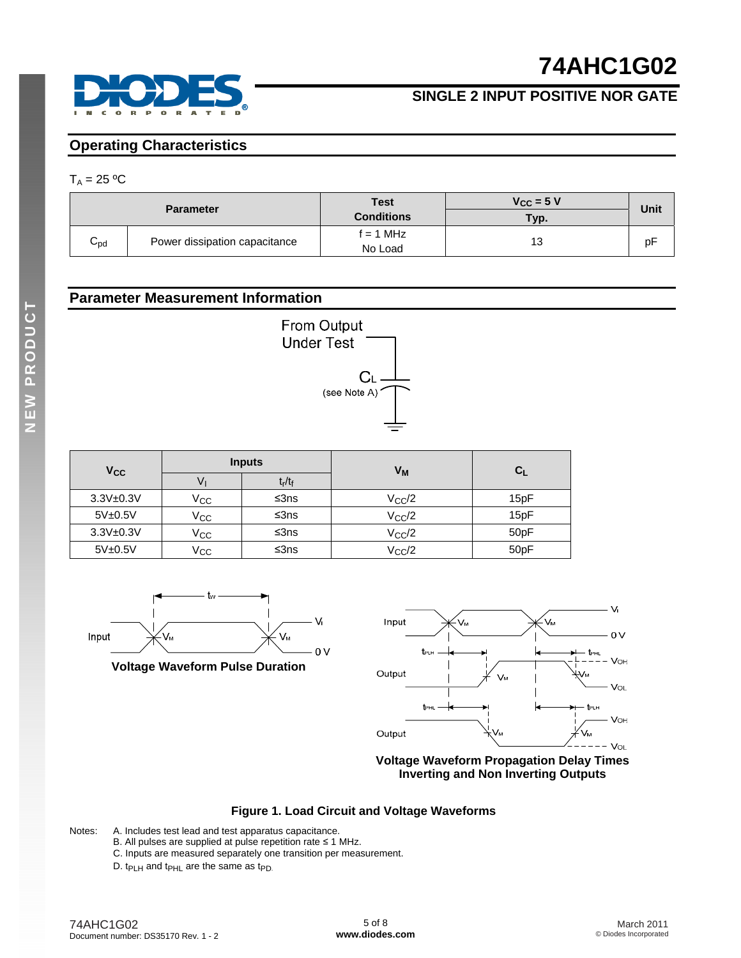



#### **Operating Characteristics**

#### $T_A = 25 °C$

|                 | <b>Parameter</b>              | <b>Test</b><br><b>Conditions</b> | $V_{CC}$ = 5 V<br>Typ. | <b>Unit</b> |
|-----------------|-------------------------------|----------------------------------|------------------------|-------------|
| $C_{\text{pd}}$ | Power dissipation capacitance | f = 1 MHz<br>No Load             |                        | рF          |

#### **Parameter Measurement Information**



| <b>V<sub>CC</sub></b> |              | <b>Inputs</b>         | V <sub>M</sub>  | C <sub>l</sub> |
|-----------------------|--------------|-----------------------|-----------------|----------------|
|                       | v            | $t_{\sf r}/t_{\sf f}$ |                 |                |
| $3.3V + 0.3V$         | Vcc          | ≤ $3ns$               | $V_{\rm CC}/2$  | 15pF           |
| 5V±0.5V               | $V_{\rm CC}$ | ≤ $3ns$               | $V_{\rm CC}$ /2 | 15pF           |
| $3.3V + 0.3V$         | $V_{\rm CC}$ | ≤ $3ns$               | $V_{\rm CC}$ /2 | 50pF           |
| 5V±0.5V               | Vcc          | ≤3ns                  | $V_{\rm CC}$ /2 | 50pF           |



**Voltage Waveform Pulse Duration** 



**Voltage Waveform Propagation Delay Times Inverting and Non Inverting Outputs**

#### **Figure 1. Load Circuit and Voltage Waveforms**

- Notes: A. Includes test lead and test apparatus capacitance.
	- B. All pulses are supplied at pulse repetition rate ≤ 1 MHz.
	- C. Inputs are measured separately one transition per measurement.
	- D.  $tp_{LH}$  and  $tp_{HL}$  are the same as  $tp_{D}$ .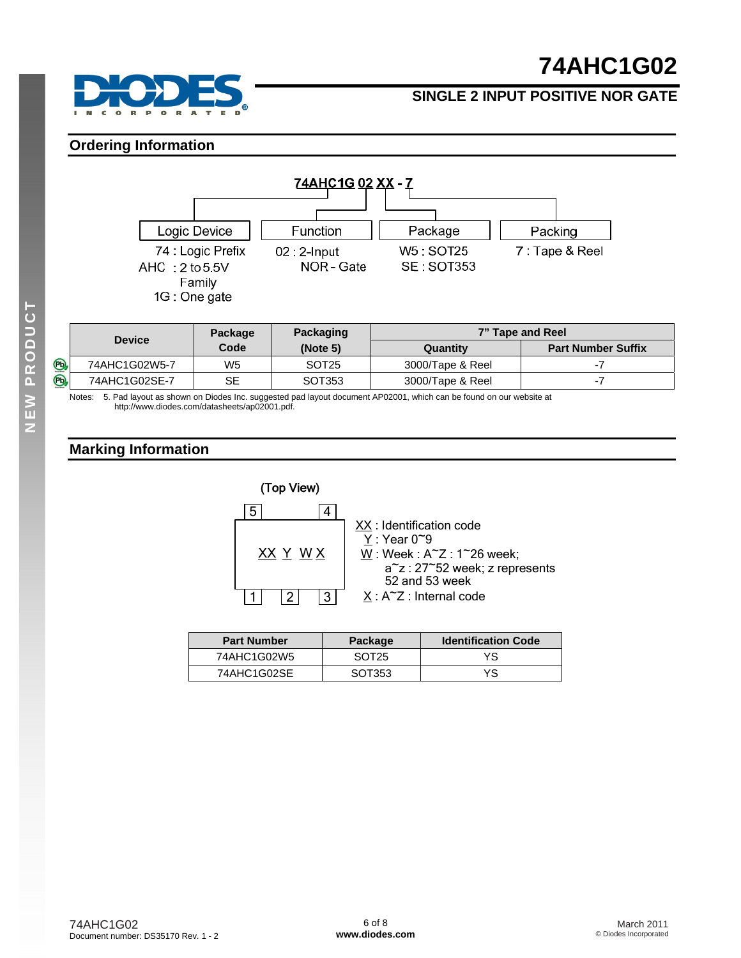



#### **Ordering Information**



|             | <b>Device</b> | Package | Packaging         | 7" Tape and Reel |                           |
|-------------|---------------|---------|-------------------|------------------|---------------------------|
|             |               | Code    | (Note 5)          | Quantitv         | <b>Part Number Suffix</b> |
| $\circledB$ | 74AHC1G02W5-7 | W5      | SOT <sub>25</sub> | 3000/Tape & Reel |                           |
| O,          | 74AHC1G02SE-7 | SE      | SOT353            | 3000/Tape & Reel | . .                       |

Notes: 5. Pad layout as shown on Diodes Inc. suggested pad layout document AP02001, which can be found on our website at [http://www.diodes.com/datasheets/ap02001.pdf.](http://www.diodes.com/datasheets/ap02001.pdf) 

#### **Marking Information**



| <b>Part Number</b> | Package           | <b>Identification Code</b> |
|--------------------|-------------------|----------------------------|
| 74AHC1G02W5        | SOT <sub>25</sub> | YS                         |
| 74AHC1G02SE        | SOT353            | YS                         |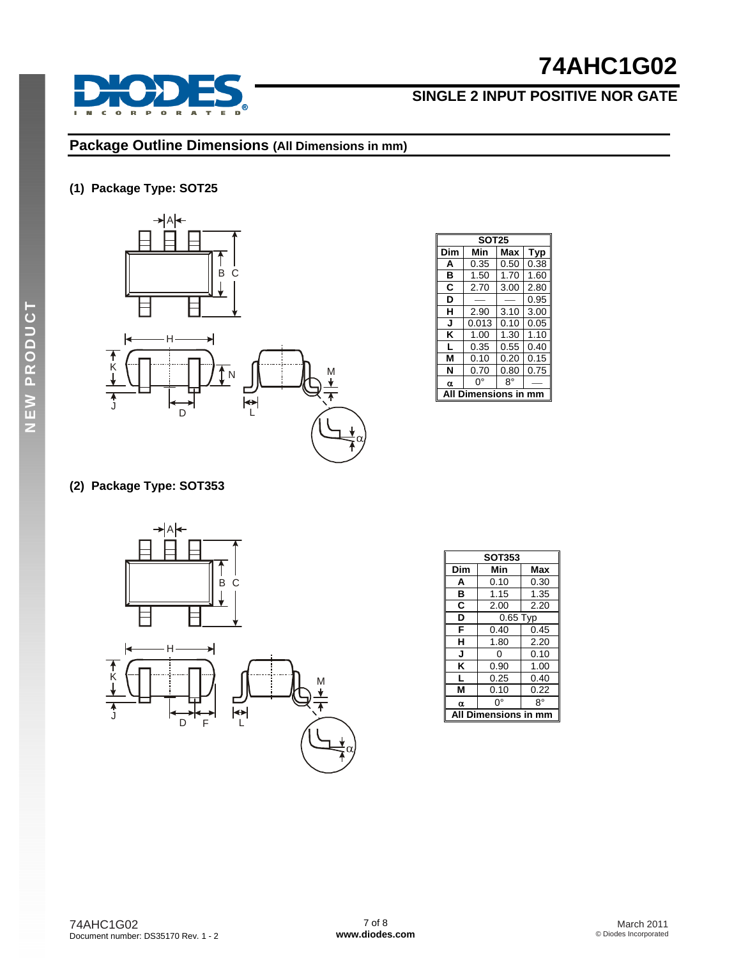

#### $\epsilon$  $\bullet$  $\mathbf R$  $\mathbf{P}$  $\overline{\mathbf{o}}$  $\mathbf R$  $\overline{a}$

### **Package Outline Dimensions (All Dimensions in mm)**

#### **(1) Package Type: SOT25**



|          | <b>SOT25</b>      |      |      |  |  |  |  |  |
|----------|-------------------|------|------|--|--|--|--|--|
| Dim      | Min<br>Max<br>Typ |      |      |  |  |  |  |  |
| A        | 0.35              | 0.50 | 0.38 |  |  |  |  |  |
| в        | 1.50              | 1.70 | 1.60 |  |  |  |  |  |
| C        | 2.70              | 3.00 | 2.80 |  |  |  |  |  |
| D        |                   |      | 0.95 |  |  |  |  |  |
| н        | 2.90              | 3.10 | 3.00 |  |  |  |  |  |
| J        | 0.013             | 0.10 | 0.05 |  |  |  |  |  |
| κ        | 1.00              | 1.30 | 1.10 |  |  |  |  |  |
| L        | 0.35              | 0.55 | 0.40 |  |  |  |  |  |
| м        | 0.10              | 0.20 | 0.15 |  |  |  |  |  |
| N        | 0.70              | 0.80 | 0.75 |  |  |  |  |  |
| $\alpha$ | 8°<br>O°          |      |      |  |  |  |  |  |
|          | mensions in       |      |      |  |  |  |  |  |

### **(2) Package Type: SOT353**



| <b>SOT353</b>          |          |      |
|------------------------|----------|------|
| Dim                    | Min      | Max  |
| A                      | 0.10     | 0.30 |
| в                      | 1.15     | 1.35 |
| C                      | 2.00     | 2.20 |
| D                      | 0.65 Typ |      |
| F                      | 0.40     | 0.45 |
| н                      | 1.80     | 2.20 |
| J                      | ი        | 0.10 |
| κ                      | 0.90     | 1.00 |
| L                      | 0.25     | 0.40 |
| M                      | 0.10     | 0.22 |
| α                      | n۰       | R۰   |
| Dimensions in mm<br>ΔI |          |      |